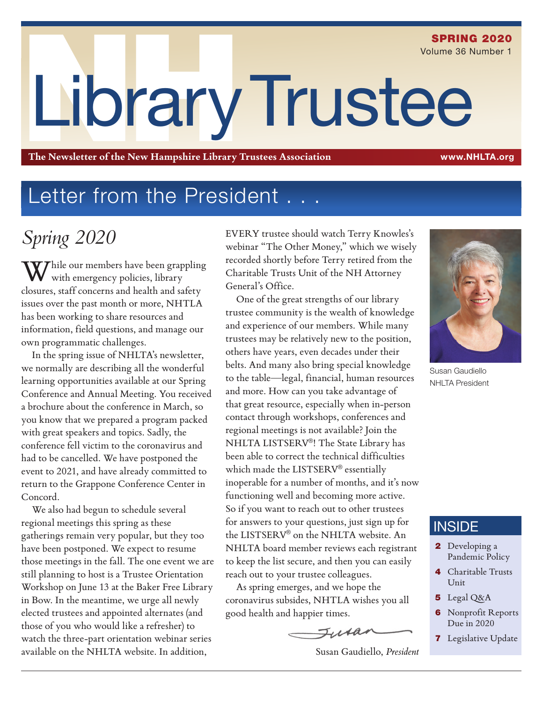# LibraryTrustee SPRING 2020 Volume 36 Number 1

**The Newsletter of the New Hampshire Library Trustees Association** www.NHLTA.org

### Letter from the President . .

### *Spring 2020*

 $\displaystyle {\bf W}$ hile our members have been grappling with emergency policies, library closures, staff concerns and health and safety issues over the past month or more, NHTLA has been working to share resources and information, field questions, and manage our own programmatic challenges.

In the spring issue of NHLTA's newsletter, we normally are describing all the wonderful learning opportunities available at our Spring Conference and Annual Meeting. You received a brochure about the conference in March, so you know that we prepared a program packed with great speakers and topics. Sadly, the conference fell victim to the coronavirus and had to be cancelled. We have postponed the event to 2021, and have already committed to return to the Grappone Conference Center in Concord.

We also had begun to schedule several regional meetings this spring as these gatherings remain very popular, but they too have been postponed. We expect to resume those meetings in the fall. The one event we are still planning to host is a Trustee Orientation Workshop on June 13 at the Baker Free Library in Bow. In the meantime, we urge all newly elected trustees and appointed alternates (and those of you who would like a refresher) to watch the three-part orientation webinar series available on the NHLTA website. In addition,

EVERY trustee should watch Terry Knowles's webinar "The Other Money," which we wisely recorded shortly before Terry retired from the Charitable Trusts Unit of the NH Attorney General's Office.

One of the great strengths of our library trustee community is the wealth of knowledge and experience of our members. While many trustees may be relatively new to the position, others have years, even decades under their belts. And many also bring special knowledge to the table—legal, financial, human resources and more. How can you take advantage of that great resource, especially when in-person contact through workshops, conferences and regional meetings is not available? Join the NHLTA LISTSERV®! The State Library has been able to correct the technical difficulties which made the LISTSERV® essentially inoperable for a number of months, and it's now functioning well and becoming more active. So if you want to reach out to other trustees for answers to your questions, just sign up for the LISTSERV® on the NHLTA website. An NHLTA board member reviews each registrant to keep the list secure, and then you can easily reach out to your trustee colleagues.

As spring emerges, and we hope the coronavirus subsides, NHTLA wishes you all good health and happier times.

Turan





Susan Gaudiello NHI TA President

### **INSIDE**

- 2 Developing a Pandemic Policy
- 4 Charitable Trusts Unit
- 5 Legal Q&A
- **6** Nonprofit Reports Due in 2020
- **7** Legislative Update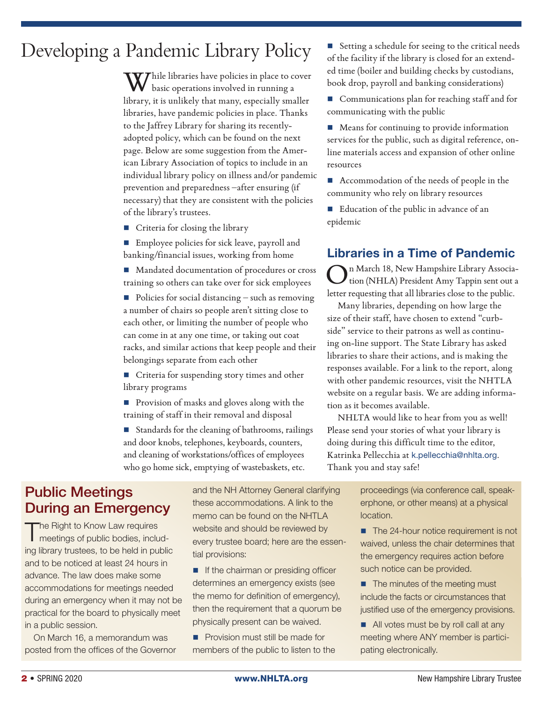### Developing a Pandemic Library Policy

While libraries have policies in place to cover basic operations involved in running a library, it is unlikely that many, especially smaller libraries, have pandemic policies in place. Thanks to the Jaffrey Library for sharing its recentlyadopted policy, which can be found on the next page. Below are some suggestion from the American Library Association of topics to include in an individual library policy on illness and/or pandemic prevention and preparedness –after ensuring (if necessary) that they are consistent with the policies of the library's trustees.

- Criteria for closing the library
- Employee policies for sick leave, payroll and banking/financial issues, working from home
- Mandated documentation of procedures or cross training so others can take over for sick employees

 $\blacksquare$  Policies for social distancing – such as removing a number of chairs so people aren't sitting close to each other, or limiting the number of people who can come in at any one time, or taking out coat racks, and similar actions that keep people and their belongings separate from each other

**Criteria for suspending story times and other** library programs

**Provision of masks and gloves along with the** training of staff in their removal and disposal

 $\blacksquare$  Standards for the cleaning of bathrooms, railings and door knobs, telephones, keyboards, counters, and cleaning of workstations/offices of employees who go home sick, emptying of wastebaskets, etc.

Setting a schedule for seeing to the critical needs of the facility if the library is closed for an extended time (boiler and building checks by custodians, book drop, payroll and banking considerations)

■ Communications plan for reaching staff and for communicating with the public

**Means for continuing to provide information** services for the public, such as digital reference, online materials access and expansion of other online resources

■ Accommodation of the needs of people in the community who rely on library resources

 Education of the public in advance of an epidemic

### Libraries in a Time of Pandemic

On March 18, New Hampshire Library Associa-tion (NHLA) President Amy Tappin sent out a letter requesting that all libraries close to the public.

Many libraries, depending on how large the size of their staff, have chosen to extend "curbside" service to their patrons as well as continuing on-line support. The State Library has asked libraries to share their actions, and is making the responses available. For a link to the report, along with other pandemic resources, visit the NHTLA website on a regular basis. We are adding information as it becomes available.

NHLTA would like to hear from you as well! Please send your stories of what your library is doing during this difficult time to the editor, Katrinka Pellecchia at k.pellecchia@nhlta.org. Thank you and stay safe!

### Public Meetings During an Emergency

The Right to Know Law requires<br>
meetings of public bodies, including library trustees, to be held in public and to be noticed at least 24 hours in advance. The law does make some accommodations for meetings needed during an emergency when it may not be practical for the board to physically meet in a public session.

On March 16, a memorandum was posted from the offices of the Governor and the NH Attorney General clarifying these accommodations. A link to the memo can be found on the NHTLA website and should be reviewed by every trustee board; here are the essential provisions:

**If the chairman or presiding officer** determines an emergency exists (see the memo for definition of emergency), then the requirement that a quorum be physically present can be waived.

**Provision must still be made for** members of the public to listen to the proceedings (via conference call, speakerphone, or other means) at a physical location.

- The 24-hour notice requirement is not waived, unless the chair determines that the emergency requires action before such notice can be provided.
- The minutes of the meeting must include the facts or circumstances that justified use of the emergency provisions.
- All votes must be by roll call at any meeting where ANY member is participating electronically.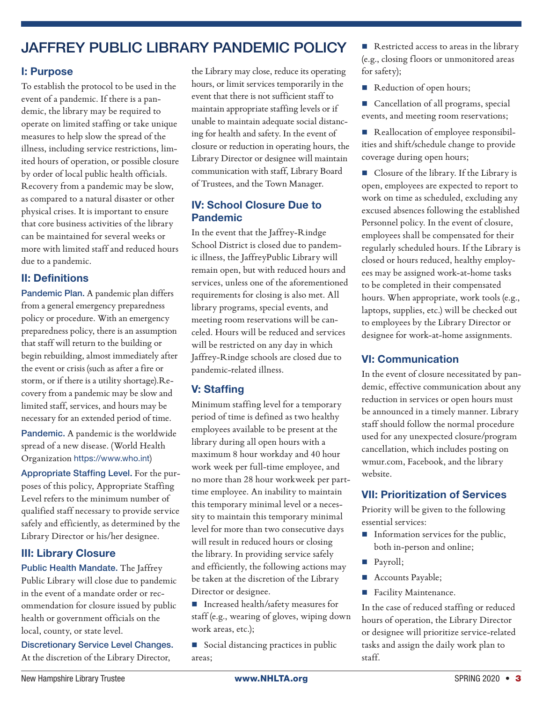### JAFFREY PUBLIC LIBRARY PANDEMIC POLICY

### I: Purpose

To establish the protocol to be used in the event of a pandemic. If there is a pandemic, the library may be required to operate on limited staffing or take unique measures to help slow the spread of the illness, including service restrictions, limited hours of operation, or possible closure by order of local public health officials. Recovery from a pandemic may be slow, as compared to a natural disaster or other physical crises. It is important to ensure that core business activities of the library can be maintained for several weeks or more with limited staff and reduced hours due to a pandemic.

### II: Definitions

Pandemic Plan. A pandemic plan differs from a general emergency preparedness policy or procedure. With an emergency preparedness policy, there is an assumption that staff will return to the building or begin rebuilding, almost immediately after the event or crisis (such as after a fire or storm, or if there is a utility shortage).Recovery from a pandemic may be slow and limited staff, services, and hours may be necessary for an extended period of time.

Pandemic. A pandemic is the worldwide spread of a new disease. (World Health Organization https://www.who.int)

Appropriate Staffing Level. For the purposes of this policy, Appropriate Staffing Level refers to the minimum number of qualified staff necessary to provide service safely and efficiently, as determined by the Library Director or his/her designee.

#### III: Library Closure

Public Health Mandate. The Jaffrey Public Library will close due to pandemic in the event of a mandate order or recommendation for closure issued by public health or government officials on the local, county, or state level.

Discretionary Service Level Changes. At the discretion of the Library Director,

the Library may close, reduce its operating hours, or limit services temporarily in the event that there is not sufficient staff to maintain appropriate staffing levels or if unable to maintain adequate social distancing for health and safety. In the event of closure or reduction in operating hours, the Library Director or designee will maintain communication with staff, Library Board of Trustees, and the Town Manager.

#### IV: School Closure Due to Pandemic

In the event that the Jaffrey-Rindge School District is closed due to pandemic illness, the JaffreyPublic Library will remain open, but with reduced hours and services, unless one of the aforementioned requirements for closing is also met. All library programs, special events, and meeting room reservations will be canceled. Hours will be reduced and services will be restricted on any day in which Jaffrey-Rindge schools are closed due to pandemic-related illness.

### V: Staffing

Minimum staffing level for a temporary period of time is defined as two healthy employees available to be present at the library during all open hours with a maximum 8 hour workday and 40 hour work week per full-time employee, and no more than 28 hour workweek per parttime employee. An inability to maintain this temporary minimal level or a necessity to maintain this temporary minimal level for more than two consecutive days will result in reduced hours or closing the library. In providing service safely and efficiently, the following actions may be taken at the discretion of the Library Director or designee.

■ Increased health/safety measures for staff (e.g., wearing of gloves, wiping down work areas, etc.);

Social distancing practices in public areas;

Restricted access to areas in the library (e.g., closing floors or unmonitored areas for safety);

Reduction of open hours;

■ Cancellation of all programs, special events, and meeting room reservations;

Reallocation of employee responsibilities and shift/schedule change to provide coverage during open hours;

Closure of the library. If the Library is open, employees are expected to report to work on time as scheduled, excluding any excused absences following the established Personnel policy. In the event of closure, employees shall be compensated for their regularly scheduled hours. If the Library is closed or hours reduced, healthy employees may be assigned work-at-home tasks to be completed in their compensated hours. When appropriate, work tools (e.g., laptops, supplies, etc.) will be checked out to employees by the Library Director or designee for work-at-home assignments.

### VI: Communication

In the event of closure necessitated by pandemic, effective communication about any reduction in services or open hours must be announced in a timely manner. Library staff should follow the normal procedure used for any unexpected closure/program cancellation, which includes posting on wmur.com, Facebook, and the library website.

### VII: Prioritization of Services

Priority will be given to the following essential services:

- $\blacksquare$  Information services for the public, both in-person and online;
- Payroll;
- Accounts Payable;
- **Facility Maintenance.**

In the case of reduced staffing or reduced hours of operation, the Library Director or designee will prioritize service-related tasks and assign the daily work plan to staff.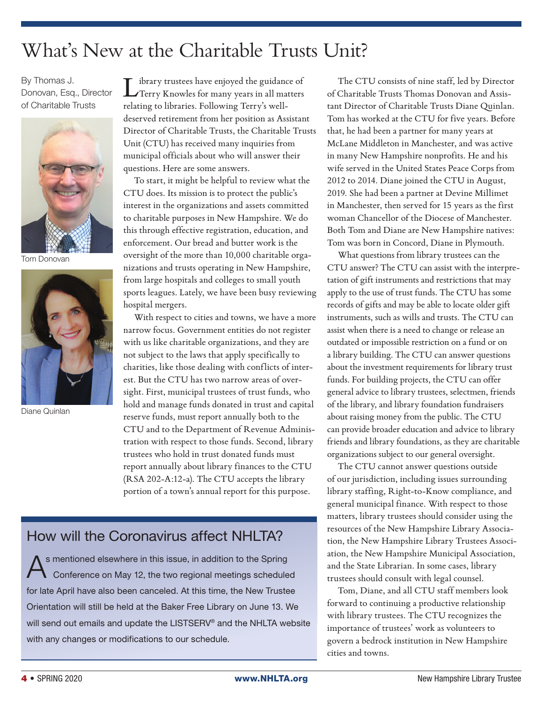### What's New at the Charitable Trusts Unit?

By Thomas J. Donovan, Esq., Director of Charitable Trusts



Tom Donovan



Diane Quinlan

 $\blacksquare$  ibrary trustees have enjoyed the guidance of Terry Knowles for many years in all matters relating to libraries. Following Terry's welldeserved retirement from her position as Assistant Director of Charitable Trusts, the Charitable Trusts Unit (CTU) has received many inquiries from municipal officials about who will answer their questions. Here are some answers.

To start, it might be helpful to review what the CTU does. Its mission is to protect the public's interest in the organizations and assets committed to charitable purposes in New Hampshire. We do this through effective registration, education, and enforcement. Our bread and butter work is the oversight of the more than 10,000 charitable organizations and trusts operating in New Hampshire, from large hospitals and colleges to small youth sports leagues. Lately, we have been busy reviewing hospital mergers.

With respect to cities and towns, we have a more narrow focus. Government entities do not register with us like charitable organizations, and they are not subject to the laws that apply specifically to charities, like those dealing with conflicts of interest. But the CTU has two narrow areas of oversight. First, municipal trustees of trust funds, who hold and manage funds donated in trust and capital reserve funds, must report annually both to the CTU and to the Department of Revenue Administration with respect to those funds. Second, library trustees who hold in trust donated funds must report annually about library finances to the CTU (RSA 202-A:12-a). The CTU accepts the library portion of a town's annual report for this purpose.

### How will the Coronavirus affect NHLTA?

s mentioned elsewhere in this issue, in addition to the Spring Conference on May 12, the two regional meetings scheduled for late April have also been canceled. At this time, the New Trustee Orientation will still be held at the Baker Free Library on June 13. We will send out emails and update the LISTSERV® and the NHLTA website with any changes or modifications to our schedule.

The CTU consists of nine staff, led by Director of Charitable Trusts Thomas Donovan and Assistant Director of Charitable Trusts Diane Quinlan. Tom has worked at the CTU for five years. Before that, he had been a partner for many years at McLane Middleton in Manchester, and was active in many New Hampshire nonprofits. He and his wife served in the United States Peace Corps from 2012 to 2014. Diane joined the CTU in August, 2019. She had been a partner at Devine Millimet in Manchester, then served for 15 years as the first woman Chancellor of the Diocese of Manchester. Both Tom and Diane are New Hampshire natives: Tom was born in Concord, Diane in Plymouth.

What questions from library trustees can the CTU answer? The CTU can assist with the interpretation of gift instruments and restrictions that may apply to the use of trust funds. The CTU has some records of gifts and may be able to locate older gift instruments, such as wills and trusts. The CTU can assist when there is a need to change or release an outdated or impossible restriction on a fund or on a library building. The CTU can answer questions about the investment requirements for library trust funds. For building projects, the CTU can offer general advice to library trustees, selectmen, friends of the library, and library foundation fundraisers about raising money from the public. The CTU can provide broader education and advice to library friends and library foundations, as they are charitable organizations subject to our general oversight.

The CTU cannot answer questions outside of our jurisdiction, including issues surrounding library staffing, Right-to-Know compliance, and general municipal finance. With respect to those matters, library trustees should consider using the resources of the New Hampshire Library Association, the New Hampshire Library Trustees Association, the New Hampshire Municipal Association, and the State Librarian. In some cases, library trustees should consult with legal counsel.

Tom, Diane, and all CTU staff members look forward to continuing a productive relationship with library trustees. The CTU recognizes the importance of trustees' work as volunteers to govern a bedrock institution in New Hampshire cities and towns.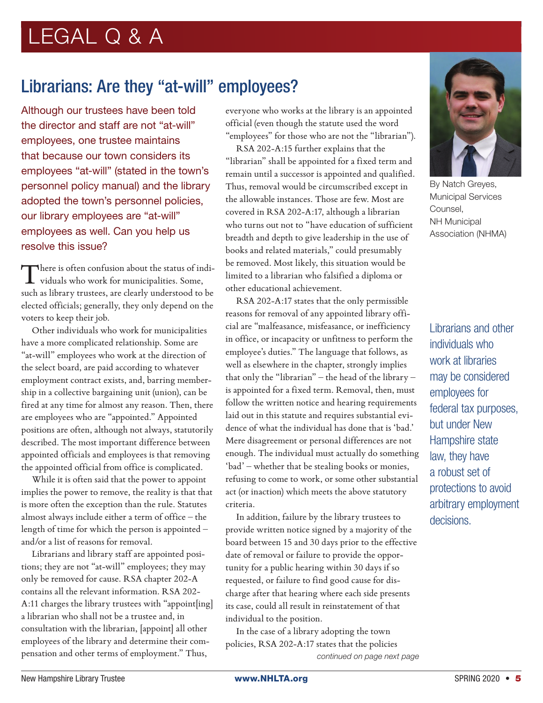### Librarians: Are they "at-will" employees?

Although our trustees have been told the director and staff are not "at-will" employees, one trustee maintains that because our town considers its employees "at-will" (stated in the town's personnel policy manual) and the library adopted the town's personnel policies, our library employees are "at-will" employees as well. Can you help us resolve this issue?

There is often confusion about the status of individuals who work for municipalities. Some, such as library trustees, are clearly understood to be elected officials; generally, they only depend on the voters to keep their job.

Other individuals who work for municipalities have a more complicated relationship. Some are "at-will" employees who work at the direction of the select board, are paid according to whatever employment contract exists, and, barring membership in a collective bargaining unit (union), can be fired at any time for almost any reason. Then, there are employees who are "appointed." Appointed positions are often, although not always, statutorily described. The most important difference between appointed officials and employees is that removing the appointed official from office is complicated.

While it is often said that the power to appoint implies the power to remove, the reality is that that is more often the exception than the rule. Statutes almost always include either a term of office – the length of time for which the person is appointed – and/or a list of reasons for removal.

Librarians and library staff are appointed positions; they are not "at-will" employees; they may only be removed for cause. RSA chapter 202-A contains all the relevant information. RSA 202- A:11 charges the library trustees with "appoint[ing] a librarian who shall not be a trustee and, in consultation with the librarian, [appoint] all other employees of the library and determine their compensation and other terms of employment." Thus,

everyone who works at the library is an appointed official (even though the statute used the word "employees" for those who are not the "librarian").

RSA 202-A:15 further explains that the "librarian" shall be appointed for a fixed term and remain until a successor is appointed and qualified. Thus, removal would be circumscribed except in the allowable instances. Those are few. Most are covered in RSA 202-A:17, although a librarian who turns out not to "have education of sufficient breadth and depth to give leadership in the use of books and related materials," could presumably be removed. Most likely, this situation would be limited to a librarian who falsified a diploma or other educational achievement.

RSA 202-A:17 states that the only permissible reasons for removal of any appointed library official are "malfeasance, misfeasance, or inefficiency in office, or incapacity or unfitness to perform the employee's duties." The language that follows, as well as elsewhere in the chapter, strongly implies that only the "librarian" – the head of the library – is appointed for a fixed term. Removal, then, must follow the written notice and hearing requirements laid out in this statute and requires substantial evidence of what the individual has done that is 'bad.' Mere disagreement or personal differences are not enough. The individual must actually do something 'bad' – whether that be stealing books or monies, refusing to come to work, or some other substantial act (or inaction) which meets the above statutory criteria.

In addition, failure by the library trustees to provide written notice signed by a majority of the board between 15 and 30 days prior to the effective date of removal or failure to provide the opportunity for a public hearing within 30 days if so requested, or failure to find good cause for discharge after that hearing where each side presents its case, could all result in reinstatement of that individual to the position.

In the case of a library adopting the town policies, RSA 202-A:17 states that the policies *continued on page next page*



By Natch Greyes, Municipal Services Counsel, NH Municipal Association (NHMA)

Librarians and other individuals who work at libraries may be considered employees for federal tax purposes, but under New Hampshire state law, they have a robust set of protections to avoid arbitrary employment decisions.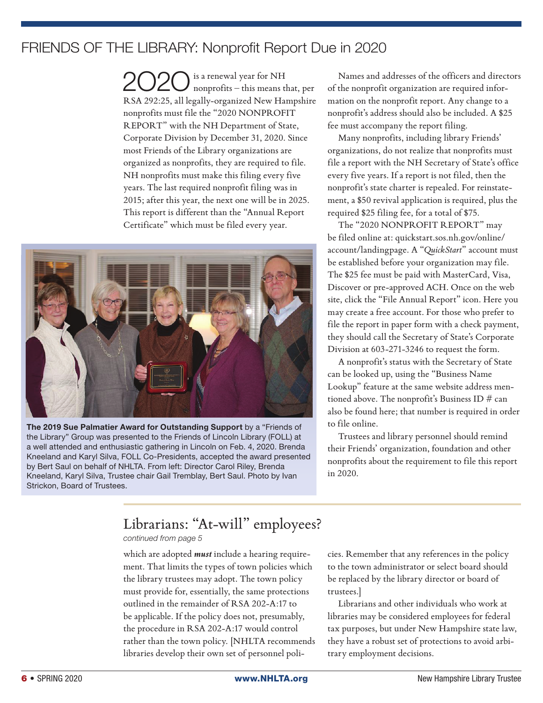### FRIENDS OF THE LIBRARY: Nonprofit Report Due in 2020

 $2020$  is a renewal year for NH nonprofits – this means that, per RSA 292:25, all legally-organized New Hampshire nonprofits must file the "2020 NONPROFIT REPORT" with the NH Department of State, Corporate Division by December 31, 2020. Since most Friends of the Library organizations are organized as nonprofits, they are required to file. NH nonprofits must make this filing every five years. The last required nonprofit filing was in 2015; after this year, the next one will be in 2025. This report is different than the "Annual Report Certificate" which must be filed every year.



The 2019 Sue Palmatier Award for Outstanding Support by a "Friends of the Library" Group was presented to the Friends of Lincoln Library (FOLL) at a well attended and enthusiastic gathering in Lincoln on Feb. 4, 2020. Brenda Kneeland and Karyl Silva, FOLL Co-Presidents, accepted the award presented by Bert Saul on behalf of NHLTA. From left: Director Carol Riley, Brenda Kneeland, Karyl Silva, Trustee chair Gail Tremblay, Bert Saul. Photo by Ivan Strickon, Board of Trustees.

Names and addresses of the officers and directors of the nonprofit organization are required information on the nonprofit report. Any change to a nonprofit's address should also be included. A \$25 fee must accompany the report filing.

Many nonprofits, including library Friends' organizations, do not realize that nonprofits must file a report with the NH Secretary of State's office every five years. If a report is not filed, then the nonprofit's state charter is repealed. For reinstatement, a \$50 revival application is required, plus the required \$25 filing fee, for a total of \$75.

The "2020 NONPROFIT REPORT" may be filed online at: quickstart.sos.nh.gov/online/ account/landingpage. A "*QuickStart*" account must be established before your organization may file. The \$25 fee must be paid with MasterCard, Visa, Discover or pre-approved ACH. Once on the web site, click the "File Annual Report" icon. Here you may create a free account. For those who prefer to file the report in paper form with a check payment, they should call the Secretary of State's Corporate Division at 603-271-3246 to request the form.

A nonprofit's status with the Secretary of State can be looked up, using the "Business Name Lookup" feature at the same website address mentioned above. The nonprofit's Business ID # can also be found here; that number is required in order to file online.

Trustees and library personnel should remind their Friends' organization, foundation and other nonprofits about the requirement to file this report in 2020.

### Librarians: "At-will" employees?

*continued from page 5*

which are adopted *must* include a hearing requirement. That limits the types of town policies which the library trustees may adopt. The town policy must provide for, essentially, the same protections outlined in the remainder of RSA 202-A:17 to be applicable. If the policy does not, presumably, the procedure in RSA 202-A:17 would control rather than the town policy. [NHLTA recommends libraries develop their own set of personnel policies. Remember that any references in the policy to the town administrator or select board should be replaced by the library director or board of trustees.]

Librarians and other individuals who work at libraries may be considered employees for federal tax purposes, but under New Hampshire state law, they have a robust set of protections to avoid arbitrary employment decisions.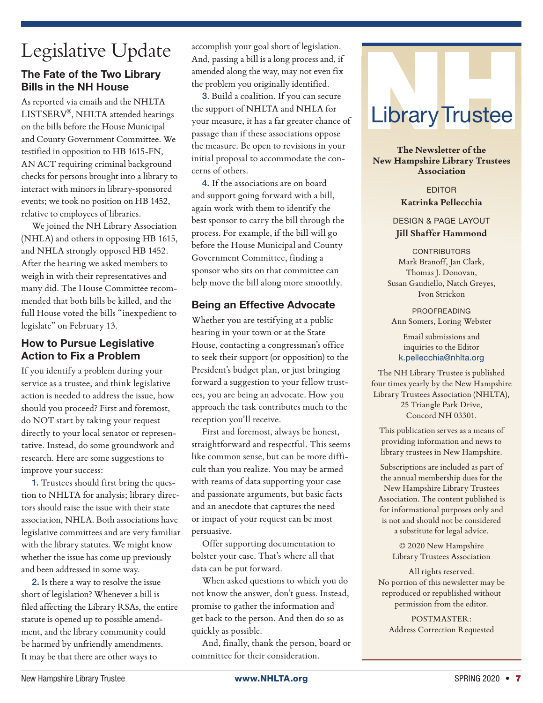## Legislative Update

### The Fate of the Two Library Bills in the NH House

As reported via emails and the NHLTA LISTSERV®, NHLTA attended hearings on the bills before the House Municipal and County Government Committee. We testified in opposition to HB 1615-FN, AN ACT requiring criminal background checks for persons brought into a library to interact with minors in library-sponsored events; we took no position on HB 1452, relative to employees of libraries.

We joined the NH Library Association (NHLA) and others in opposing HB 1615, and NHLA strongly opposed HB 1452. After the hearing we asked members to weigh in with their representatives and many did. The House Committee recommended that both bills be killed, and the full House voted the bills "inexpedient to legislate" on February 13.

### How to Pursue Legislative Action to Fix a Problem

If you identify a problem during your service as a trustee, and think legislative action is needed to address the issue, how should you proceed? First and foremost, do NOT start by taking your request directly to your local senator or representative. Instead, do some groundwork and research. Here are some suggestions to improve your success:

1. Trustees should first bring the question to NHLTA for analysis; library directors should raise the issue with their state association, NHLA. Both associations have legislative committees and are very familiar with the library statutes. We might know whether the issue has come up previously and been addressed in some way.

2. Is there a way to resolve the issue short of legislation? Whenever a bill is filed affecting the Library RSAs, the entire statute is opened up to possible amendment, and the library community could be harmed by unfriendly amendments. It may be that there are other ways to

accomplish your goal short of legislation. And, passing a bill is a long process and, if amended along the way, may not even fix the problem you originally identified.

3. Build a coalition. If you can secure the support of NHLTA and NHLA for your measure, it has a far greater chance of passage than if these associations oppose the measure. Be open to revisions in your initial proposal to accommodate the concerns of others.

4. If the associations are on board and support going forward with a bill, again work with them to identify the best sponsor to carry the bill through the process. For example, if the bill will go before the House Municipal and County Government Committee, finding a sponsor who sits on that committee can help move the bill along more smoothly.

### Being an Effective Advocate

Whether you are testifying at a public hearing in your town or at the State House, contacting a congressman's office to seek their support (or opposition) to the President's budget plan, or just bringing forward a suggestion to your fellow trustees, you are being an advocate. How you approach the task contributes much to the reception you'll receive.

First and foremost, always be honest, straightforward and respectful. This seems like common sense, but can be more difficult than you realize. You may be armed with reams of data supporting your case and passionate arguments, but basic facts and an anecdote that captures the need or impact of your request can be most persuasive.

Offer supporting documentation to bolster your case. That's where all that data can be put forward.

When asked questions to which you do not know the answer, don't guess. Instead, promise to gather the information and get back to the person. And then do so as quickly as possible.

And, finally, thank the person, board or committee for their consideration.



**The Newsletter of the New Hampshire Library Trustees Association**

> EDITOR **Katrinka Pellecchia**

DESIGN & PAGE LAYOUT **Jill Shaffer Hammond**

**CONTRIBUTORS** Mark Branoff, Jan Clark, Thomas J. Donovan, Susan Gaudiello, Natch Greyes, Ivon Strickon

PROOFREADING Ann Somers, Loring Webster

Email submissions and inquiries to the Editor k.pellecchia@nhlta.org

The NH Library Trustee is published four times yearly by the New Hampshire Library Trustees Association (NHLTA), 25 Triangle Park Drive, Concord NH 03301.

This publication serves as a means of providing information and news to library trustees in New Hampshire.

Subscriptions are included as part of the annual membership dues for the New Hampshire Library Trustees Association. The content published is for informational purposes only and is not and should not be considered a substitute for legal advice.

> © 2020 New Hampshire Library Trustees Association

All rights reserved. No portion of this newsletter may be reproduced or republished without permission from the editor.

POSTMASTER: Address Correction Requested